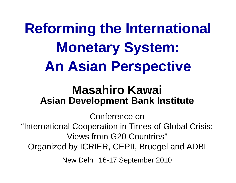**Reforming the International Monetary System: An Asian Perspective**

### **Masahiro Kawai Asian Development Bank Institute**

Conference on "International Cooperation in Times of Global Crisis: Views from G20 Countries" Organized by ICRIER, CEPII, Bruegel and ADBI

New Delhi 16-17 September 2010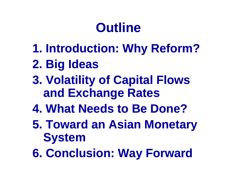# **Outline**

- **1. Introduction: Why Reform?**
- **2. Big Ideas**
- **3 Volatility of Capital Flows 3. and Exchange Rates**
- **4. What Needs to Be Done?**
- **5 Toward an Asian Monetary 5. System**
- **6. Conclusion: Way Forward**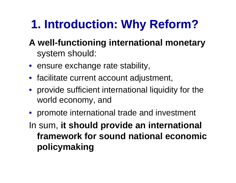# **1. Introduction: Why Reform?**

- **A well-functioning international monetary** s ystem should:
- ensure exchange rate stability,
- facilitate current account adjustment,
- provide sufficient international liquidity for the world economy, and
- promote international trade and investment

In sum, **it should provide an international framework for sound national economic policymaking**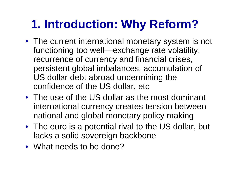## **1. Introduction: Why Reform? .**

- The current international monetary system is not functioning too well—exchange rate volatility, recurrence of currency and financial crises, persistent global imbalances, accumulation of US dollar debt abroad undermining the confidence of the US dollar, etc
- The use of the US dollar as the most dominant international currency creates tension between national and global monetary policy making
- The euro is a potential rival to the US dollar, but lacks a solid sovereign backbone
- What needs to be done?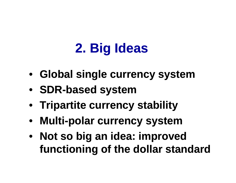# **2. Big Ideas**

- **Global single currency system**
- **SDR-based system based**
- **T i tit t bilit Tripartite currency s e stability**
- **Multi-p yy olar currenc currency system**
- **Not so big an idea: improved functioning of the dollar standard**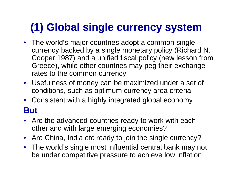### **(1) Global single currency system**

- The world's major countries adopt a common single currency backed by a single monetary policy (Richard N. Cooper 1987) and <sup>a</sup> unified fiscal policy (new lesson from Greece), while other countries may peg their exchange rates to the common currency
- Usefulness of money can be maximized under a set of conditions, such as optimum currency area criteria
- Consistent with a highly integrated global economy

#### **But**

- Are the advanced countries ready to work with each other and with large emerging economies?
- Are China, India etc ready to join the single currency?
- The world's single most influential central bank may not be under competitive pressure to achieve low inflation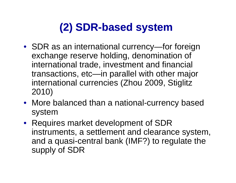### **(2) SDR SDR-based system based**

- SDR as an international currency—for foreign exchange reserve holding, denomination of international trade, investment and financial transactions, etc—in parallel with other major international currencies (Zhou 2009, Stiglitz 2010)
- More balanced than a national-currency based system
- Requires market development of SDR instruments, a settlement and clearance system, and a quasi-central bank (IMF?) to regulate the supply of SDR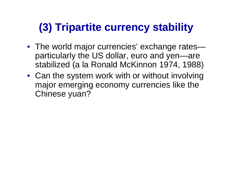### **(3) Tripartite currency stability**

- The world major currencies' exchange rates particularly the US dollar, euro and yen—are stabilized (a la Ronald McKinnon 1974, 1988)
- Can the system work with or without involving major emerging economy currencies like the Chinese yuan?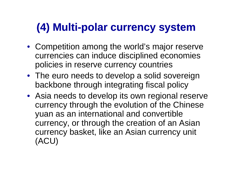### **(4) Multi-polar currency system**

- Competition among the world's major reserve currencies can induce disciplined economies policies in reserve currency countries
- $\bullet\,$  The euro needs to develop a solid sovereign backbone through integrating fiscal policy
- Asia needs to develop its own regional reserve currency through the evolution of the Chinese yuan as an international and convertible currency, or through the creation of an Asian currency basket, like an Asian currency unit (ACU)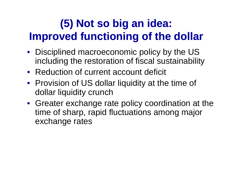### **(5) Not so big an idea: I d f ti i f th d ll Improve function ing o the ollar**

- Disciplined macroeconomic policy by the US including the restoration of fiscal sustainability
- Reduction of current account deficit
- Provision of US dollar liquidity at the time of dollar liquidity crunch
- Greater exchange rate policy coordination at the time of sharp, rapid fluctuations among major exchange rates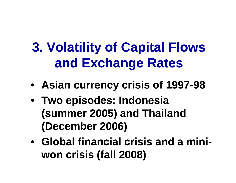# **3. Volatility of Capital Flows and Exchange Rates**

- **Asian currency crisis of 1997 1997-98**
- **Two episodes: Indonesia (summer 2005) and Thailand (December 2006)**
- Global financial crisis and a mini**won crisis (fall 2008)**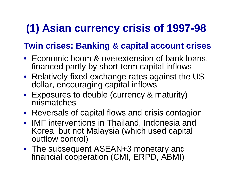### **() y 1 Asian currenc currency crisis of 1997 1997-98**

#### **Twin crises: Banking & capital account crises**

- Economic boom & overextension of bank loans, financed partly by short-term capital inflows
- Relatively fixed exchange rates against the US dollar, encouraging capital inflows
- Exposures to double (currency & maturity) mismatches
- Reversals of capital flows and crisis contagion
- IMF interventions in Thailand, Indonesia and Korea, but not Malaysia (which used capital outflow control)
- The subsequent ASEAN+3 monetary and financial cooperation (CMI, ERPD, ABMI)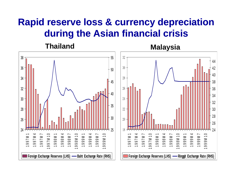#### **Rapid reserve loss & currency depreciation during the Asian financial crisis**

**Thailand**



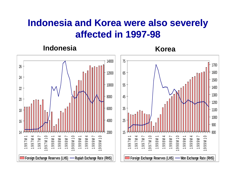#### **Indonesia and Korea were also severely affected in 1997 -98**

#### **Indonesia**



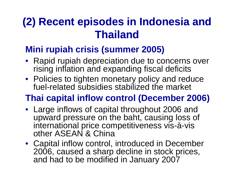### **(2) Recent episodes in Indonesia and Thailand**

#### **Mini rupiah crisis (summer 2005)**

- Rapid rupiah depreciation due to concerns over rising inflation and expanding fiscal deficits
- Policies to tighten monetary policy and reduce fuel-related subsidies stabilized the market

#### **Thai capital inflow control (December 2006)**

- Large inflows of capital throughout 2006 and upward pressure on the baht, causing loss of international price competitiveness vis - à -vis other ASEAN & China
- Capital inflow control, introduced in December 2006, caused a sharp decline in stock prices, and had to be modified in January 2007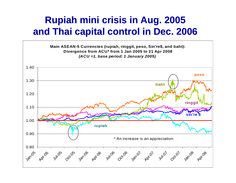#### **Rupiah mini crisis in Aug. 2005 and Thai capital control in Dec. 2006**

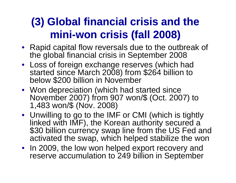### **(3) Global financial crisis and the mini -won crisis (fall 2008) won**

- Rapid capital flow reversals due to the outbreak of the global financial crisis in September 2008
- Loss of foreign exchange reserves (which had started since March 2008) from \$264 billion to below \$200 billion in November
- Won depreciation (which had started since November 2007) from 907 won/\$ (Oct. 2007) to 1,483 won/\$ (Nov. 2008)
- Unwilling to go to the IMF or CMI (which is tightly linked with IMF), the Korean authority secured a linked with IMF), the Korean authority secured a<br>\$30 billion currency swap line from the US Fed and activated the swap, which helped stabilize the won
- In 2009, the low won helped export recovery and reserve accumulation to 249 billion in September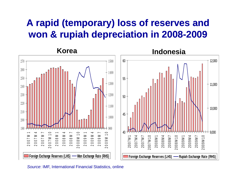#### **A rapid (temporary) loss of reserves and won & rupiah depreciation in 2008 & -2009**



*Source*: IMF, International Financial Statistics, online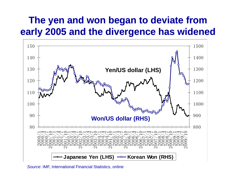#### **The yen and won began to deviate from early 2005 and the divergence has widened the widened**



*Source*: IMF, International Financial Statistics, online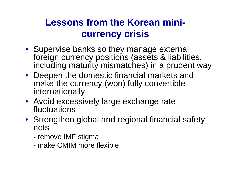### **Lessons from the Korean minicurrency crisis**

- Supervise banks so they manage external foreign currency positions (assets & liabilities, including maturity mismatches) in a prudent way
- Deepen the domestic financial markets and make the currency (won) fully convertible internationally
- $\bullet\,$  Avoid excessively large exchange rate fluctuations
- Strengthen global and regional financial safety nets
	- remove IMF stigma
	- **-** make CMIM more flexible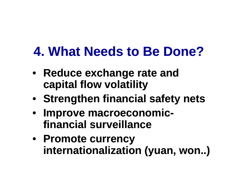# **4. What Needs to Be Done?**

- **Reduce exchange rate and capital flow volatility**
- **Stren g y then financial safet y nets**
- **Improve macroeconomicfinancial surveillance**
- **Promote currency internationalization (yuan won ) (yuan, won..**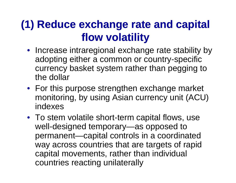### **(1) Reduce exchange rate and capital fl l tilit flow vo atilit y**

- Increase intraregional exchange rate stability by adopting either a common or country-specific currency basket system rather than pegging to the dollar
- For this purpose strengthen exchange market monitoring, by using Asian currency unit (ACU) indexes
- To stem volatile short-term capital flows, use well-designed temporary—as opposed to permanent—capital controls in a coordinated way across countries that are targets of rapid capital movements, rather than individual countries reacting unilaterally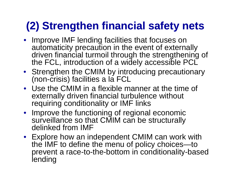### **(2) Strengthen financial safety nets**

- Improve IMF lending facilities that focuses on automaticity precaution in the event of externally driven financial turmoil through the strengthening of the FCL, introduction of a widely accessible PCL
- Strengthen the CMIM by introducing precautionary (non-crisis) facilities a la FCL
- Use the CMIM in a flexible manner at the time of externally driven financial turbulence without requiring conditionality or IMF links
- Improve the functioning of regional economic surveillance so that CMIM can be structurally delinked from IMF
- Explore how an independent CMIM can work with the IMF to define the menu of policy choices—to prevent a race-to-the-bottom in conditionality-based lending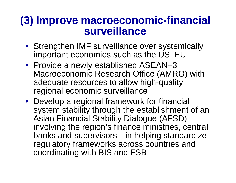### **(3) Improve macroeconomic macroeconomic-financial financial surveillance**

- Strengthen IMF surveillance over systemically important economies such as the  $US$ , EU
- Provide a newly established ASEAN+3 Macroeconomic Research Office (AMRO) with adequate resources to allow high-quality regional economic surveillance
- Develop <sup>a</sup> regional framework for financial system stability through the establishment of an Asian Financial Stability Dialogue (AFSD) involving the region's finance ministries, central banks and supervisors—in helping standardize regulatory frameworks across countries and coordinating with BIS and FSB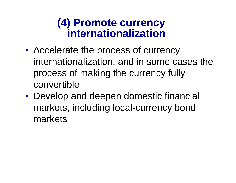### **(4) Promote currency internationalization**

- Accelerate the process of currency internationalization, and in some cases the process of making the currency fully convertible
- Develop and deepen domestic financial markets, including local-currency bond markets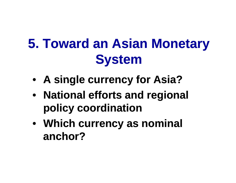# **5. Toward an Asian Monetary S t ys tem**

- $\bullet$ **A single currency for Asia? for**
- **National efforts and regional policy coordination**
- **Which currency as nominal anchor?**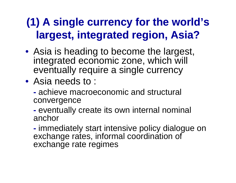### **(1) A single currency for the world's largest integrated region Asia? largest, region,**

- Asia is heading to become the largest, integrated economic zone, which will eventually require a single currency
- Asia needs to :
	- **-** achieve macroeconomic and structural convergence
	- **-**- eventually create its own internal nominal anchor

- immediately start intensive policy dialogue on exchange rates, informal coordination of exchange rate regimes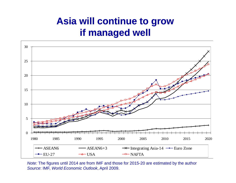#### **Asia will continue to grow if managed well**



*Note:* The figures until 2014 are from IMF and those for 2015-20 are estimated by the author *Source*: IMF, *World Economic Outlook*, April 2009.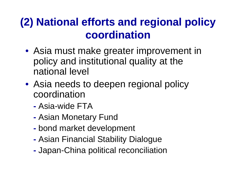### **(2) National efforts and regional policy coordination**

- Asia must make greater improvement in policy and institutional quality at the national level
- Asia needs to deepen regional policy coordination
	- **-** Asia-wide FTA
	- **-**Asian Monetary Fund
	- bond market development
	- **-**Asian Financial Stability Dialogue
	- **-**- Japan-China political reconciliation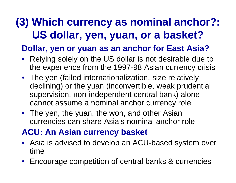### **(3) Which currency as nominal anchor?: US dollar yen yuan or <sup>a</sup> basket? dollar, yen, yuan,**

#### **Dollar, yen or yuan as an anchor for East Asia?**

- Relying solely on the US dollar is not desirable due to the experience from the 1997-98 Asian currency crisis
- The yen (failed internationalization, size relatively declining) or the yuan (inconvertible, weak prudential supervision, non-independent central bank) alone cannot assume <sup>a</sup> nominal anchor currency role
- The yen, the yuan, the won, and other Asian currencies can share Asia's nominal anchor role

#### **ACU: An Asian currency basket**

- Asia is advised to develop an ACU-based system over time
- Encourage competition of central banks & currencies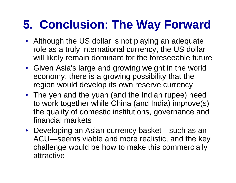### **5. Conclusion: The Way Forward**

- Although the US dollar is not playing an adequate role as a truly international currency, the US dollar will likely remain dominant for the foreseeable future
- Given Asia's large and growing weight in the world economy, there is a growing possibility that the region would develop its own reserve currency
- The yen and the yuan (and the Indian rupee) need to work together while China (and India) improve(s) the quality of domestic institutions, governance and financial markets
- Developing an Asian currency basket—such as an ACU—seems viable and more realistic, and the key challenge would be how to make this commercially attractive